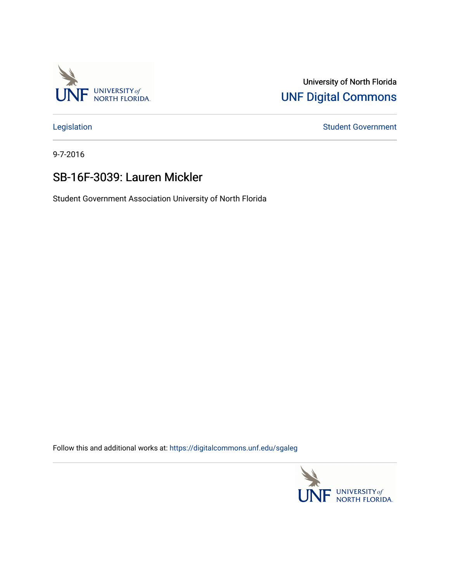

## University of North Florida [UNF Digital Commons](https://digitalcommons.unf.edu/)

[Legislation](https://digitalcommons.unf.edu/sgaleg) **Student Government** 

9-7-2016

## SB-16F-3039: Lauren Mickler

Student Government Association University of North Florida

Follow this and additional works at: [https://digitalcommons.unf.edu/sgaleg](https://digitalcommons.unf.edu/sgaleg?utm_source=digitalcommons.unf.edu%2Fsgaleg%2F2963&utm_medium=PDF&utm_campaign=PDFCoverPages)

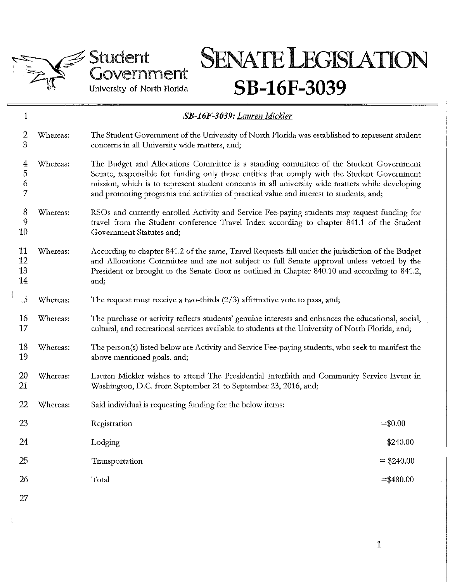

÷

## Student Government University of North Florida

# **SENATE LEGISIATION SB-16F-3039**

| 1                             |          | SB-16F-3039: Lauren Mickler                                                                                                                                                                                                                                                                                                                                                         |              |
|-------------------------------|----------|-------------------------------------------------------------------------------------------------------------------------------------------------------------------------------------------------------------------------------------------------------------------------------------------------------------------------------------------------------------------------------------|--------------|
| 2<br>3                        | Whereas: | The Student Government of the University of North Florida was established to represent student<br>concerns in all University wide matters, and;                                                                                                                                                                                                                                     |              |
| $\overline{4}$<br>5<br>6<br>7 | Whereas: | The Budget and Allocations Committee is a standing committee of the Student Government<br>Senate, responsible for funding only those entities that comply with the Student Government<br>mission, which is to represent student concerns in all university wide matters while developing<br>and promoting programs and activities of practical value and interest to students, and; |              |
| 8<br>9<br>10                  | Whereas: | RSOs and currently enrolled Activity and Service Fee-paying students may request funding for<br>travel from the Student conference Travel Index according to chapter 841.1 of the Student<br>Government Statutes and;                                                                                                                                                               |              |
| 11<br>12<br>13<br>14          | Whereas: | According to chapter 841.2 of the same, Travel Requests fall under the jurisdiction of the Budget<br>and Allocations Committee and are not subject to full Senate approval unless vetoed by the<br>President or brought to the Senate floor as outlined in Chapter 840.10 and according to 841.2,<br>and;                                                                           |              |
| $\sim$                        | Whereas: | The request must receive a two-thirds $(2/3)$ affirmative vote to pass, and;                                                                                                                                                                                                                                                                                                        |              |
| 16<br>17                      | Whereas: | The purchase or activity reflects students' genuine interests and enhances the educational, social,<br>cultural, and recreational services available to students at the University of North Florida, and;                                                                                                                                                                           |              |
| 18<br>19                      | Whereas: | The person(s) listed below are Activity and Service Fee-paying students, who seek to manifest the<br>above mentioned goals, and;                                                                                                                                                                                                                                                    |              |
| <b>20</b><br>21               | Whereas: | Lauren Mickler wishes to attend The Presidential Interfaith and Community Service Event in<br>Washington, D.C. from September 21 to September 23, 2016, and;                                                                                                                                                                                                                        |              |
| 22                            | Whereas: | Said individual is requesting funding for the below items:                                                                                                                                                                                                                                                                                                                          |              |
| 23                            |          | Registration                                                                                                                                                                                                                                                                                                                                                                        | $=$ \$0.00   |
| 24                            |          | Lodging                                                                                                                                                                                                                                                                                                                                                                             | $=$ \$240.00 |
| 25                            |          | Transportation                                                                                                                                                                                                                                                                                                                                                                      | $=$ \$240.00 |
| 26                            |          | Total                                                                                                                                                                                                                                                                                                                                                                               | $=$ \$480.00 |
| 27                            |          |                                                                                                                                                                                                                                                                                                                                                                                     |              |

1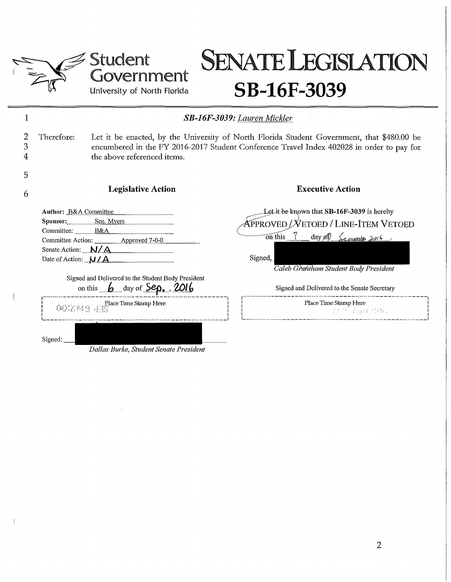

 $\frac{1}{2}$ 

## Student iovernment University of North Florida

## **SENATE LEGISLATION SB-16F-3039**

|             |                                                                                                                          |                                                                                                                                                                                                                                                                                                                                                                                             | <b>SB-16F-3039: Lauren Mickler</b>                                                                                                                                                                                                                                       |
|-------------|--------------------------------------------------------------------------------------------------------------------------|---------------------------------------------------------------------------------------------------------------------------------------------------------------------------------------------------------------------------------------------------------------------------------------------------------------------------------------------------------------------------------------------|--------------------------------------------------------------------------------------------------------------------------------------------------------------------------------------------------------------------------------------------------------------------------|
| 2<br>3<br>4 | Therefore:                                                                                                               | the above referenced items.                                                                                                                                                                                                                                                                                                                                                                 | Let it be enacted, by the University of North Florida Student Government, that \$480.00 be<br>encumbered in the FY 2016-2017 Student Conference Travel Index 402028 in order to pay for                                                                                  |
| 5           |                                                                                                                          |                                                                                                                                                                                                                                                                                                                                                                                             |                                                                                                                                                                                                                                                                          |
| 6           |                                                                                                                          | <b>Legislative Action</b>                                                                                                                                                                                                                                                                                                                                                                   | <b>Executive Action</b>                                                                                                                                                                                                                                                  |
|             | Author: B&A Committee<br>Sponsor: Sen. Myers<br>Committee: B&A<br>Senate Action: $N/A$<br>Date of Action: $\mathbf{N/A}$ | Committee Action: <u>Approved 7-0-0</u><br>Signed and Delivered to the Student Body President<br>on this $\mathbf{b}$ day of $\mathbf{Sep.}$ , 2016                                                                                                                                                                                                                                         | Let it be known that SB-16F-3039 is hereby<br>APPROVED / VETOED / LINE-ITEM VETOED<br>$\overline{on}$ this $\overline{a}$<br>$day \mathfrak{H}$ $\leq$ exember 2016.<br>Signed,<br>Caleb Grantham Student Body President<br>Signed and Delivered to the Senate Secretary |
|             |                                                                                                                          | Place Time Stamp Here<br>$\bigcup_{i=1}^{\infty} \bigcup_{i=1}^{\infty} \bigcup_{i=1}^{\infty} \bigcup_{i=1}^{\infty} \bigcup_{i=1}^{\infty} \bigcup_{i=1}^{\infty} \bigcup_{i=1}^{\infty} \bigcup_{i=1}^{\infty} \bigcup_{i=1}^{\infty} \bigcup_{i=1}^{\infty} \bigcup_{i=1}^{\infty} \bigcup_{i=1}^{\infty} \bigcup_{i=1}^{\infty} \bigcup_{i=1}^{\infty} \bigcup_{i=1}^{\infty} \bigcup$ | Place Time Stamp Here<br><b>总告示融行协同</b>                                                                                                                                                                                                                                  |
|             | Signed:                                                                                                                  | Dallas Burke, Student Senate President                                                                                                                                                                                                                                                                                                                                                      |                                                                                                                                                                                                                                                                          |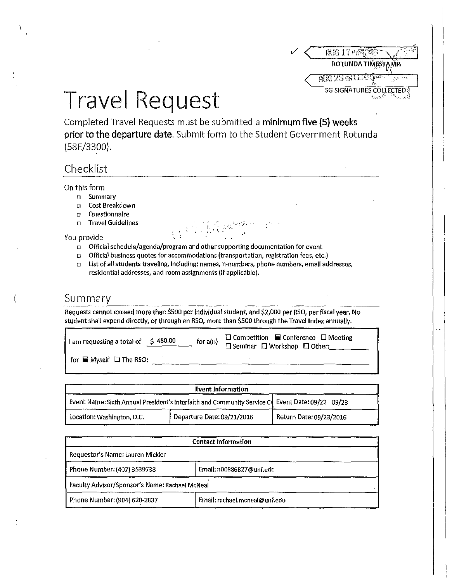|  | 6世代 生子 19               |
|--|-------------------------|
|  | ROTUNDA TIMESTAMP       |
|  | 경험 못할 쉬운트               |
|  | SG SIGNATURES COLLECTED |

# Travel Request

Completed Travel Requests must be submitted a **minimum five (5) weeks prior to the departure date.** Submit form to the Student Government Rotunda (58E/3300).

## Checklist

A

### On this form

- □ Summary
- □ Cost Breakdown
- □ **Questionnaire**
- □ Travel Guidelines

### You provide

- □ Official schedule/agenda/program and other supporting documentation for event
- □ Official business quotes for accommodations (transportation, registration fees, etc.)
- □ List of all students traveling, Including: names, n-numbers, phone numbers, email addresses, residential addresses, and room assignments (if applicable).

### Summary

Requests cannot exceed more than \$500 per Individual student, and \$2,000 per RSO, per fiscal year. No student shall expend directly, or through an RSO, more than \$500 through the Travel Index annually.

| for $a(n)$                                 | $\Box$ Competition $\blacksquare$ Conference $\Box$ Meeting |
|--------------------------------------------|-------------------------------------------------------------|
| am requesting a total of $\lesssim 480.00$ | $\Box$ Seminar $\Box$ Workshop $\Box$ Other:                |
| for $\blacksquare$ Myself $\Box$ The RSO:  | $\mathbf{r}$                                                |

|                                                                                                      | <b>Event Information</b>   |                         |
|------------------------------------------------------------------------------------------------------|----------------------------|-------------------------|
| Event Name: Sixth Annual President's Interfaith and Community Service Cd Event Date: 09/22 - 09/23 [ |                            |                         |
| Location: Washington, D.C.                                                                           | Departure Date: 09/21/2016 | Return Date: 09/23/2016 |

| <b>Contact Information</b>                     |                               |  |
|------------------------------------------------|-------------------------------|--|
| Requestor's Name: Lauren Mickler               |                               |  |
| Phone Number: (407) 3539738                    | Email: n00886827@unf.edu      |  |
| Faculty Advisor/Sponsor's Name: Rachael McNeal |                               |  |
| Phone Number: (904) 620-2837                   | Email: rachael.mcneal@unf.edu |  |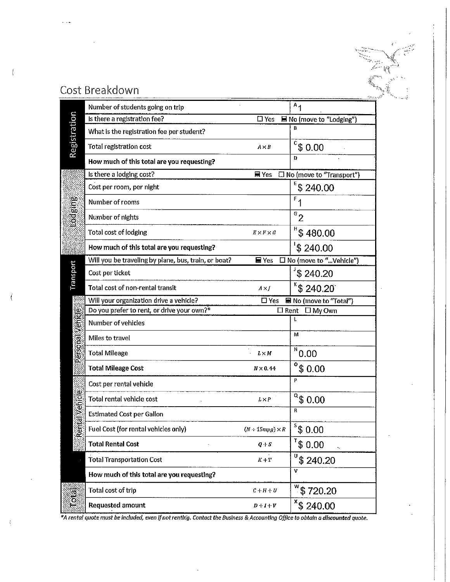| ť |  |
|---|--|
|   |  |

## Cost Breakdown

 $\langle$ 

 $\langle$ 

|                  | Number of students going on trip                     |                                           | $A_1$                      |
|------------------|------------------------------------------------------|-------------------------------------------|----------------------------|
|                  | Is there a registration fee?                         | $\square$ Yes                             | ■ No (move to "Lodging")   |
|                  | What is the registration fee per student?            |                                           | B                          |
| Registration     | Total registration cost                              | A×B                                       | $c$ \$ 0.00                |
|                  | How much of this total are you requesting?           |                                           | Ð                          |
|                  | Is there a lodging cost?                             | $\blacksquare$ Yes                        | □ No (move to "Transport") |
|                  | Cost per room, per night                             |                                           | $E$ \$ 240.00              |
|                  | Number of rooms                                      |                                           | $F_{1}$                    |
| <b>Lodeing</b>   | Number of nights                                     |                                           | $\mathbf{e}_{2}$           |
|                  | Total cost of lodging                                | $E \times F \times G$                     | $H$ \$ 480.00              |
|                  | How much of this total are you requesting?           |                                           | 's 240.00                  |
|                  | Will you be traveling by plane, bus, train, or boat? | $\blacksquare$ Yes                        | □ No (move to " Vehicle")  |
| Transport        | Cost per ticket                                      |                                           | \$240.20                   |
|                  | Total cost of non-rental transit                     | $A \times J$                              | 840.20                     |
|                  | Will your organization drive a vehicle?              | $\square$ Yes                             | ■ No (move to "Total")     |
|                  | Do you prefer to rent, or drive your own?*           | $\square$ Rent                            | $\square$ My Own           |
|                  | Number of vehicles                                   |                                           | L                          |
| Personal Venicle | Miles to travel                                      |                                           | м                          |
|                  | <b>Total Mileage</b>                                 | L > M                                     | N<br>0.00                  |
|                  | <b>Total Mileage Cost</b>                            | $N \times 0.44$                           | $^{\circ}$ \$ 0.00         |
|                  | Cost per rental vehicle                              |                                           | P                          |
|                  | Total rental vehicle cost                            | $L \times P$                              | $^\alpha\$ 0.00            |
| ental Vehicle    | <b>Estimated Cost per Gallon</b>                     |                                           | R                          |
| C)               | Fuel Cost (for rental vehicles only)                 | $(N+15mpg)\times R$                       | $\frac{1}{2}$ \$ 0.00      |
|                  | <b>Total Rental Cost</b>                             | $Q + S$                                   | $1^{\circ}$ \$ 0.00        |
|                  | <b>Total Transportation Cost</b>                     | $K+T$                                     | $\sqrt[0]{\$}$ 240.20      |
|                  | How much of this total are you requesting?           |                                           | $\overline{\mathbf{v}}$    |
|                  | Total cost of trip                                   | $\mathcal{C} + \mathcal{H} + \mathcal{U}$ | $\sqrt[3]{}$ \$720.20      |
| Total<br>T       | <b>Requested amount</b>                              | $D+I+V$                                   | $*$ \$ 240.00              |

*\*A rental quote must be Included~ even If not rentlri'g, Contact the Business* **&** *Accounting Office to obtain a discounted quote.*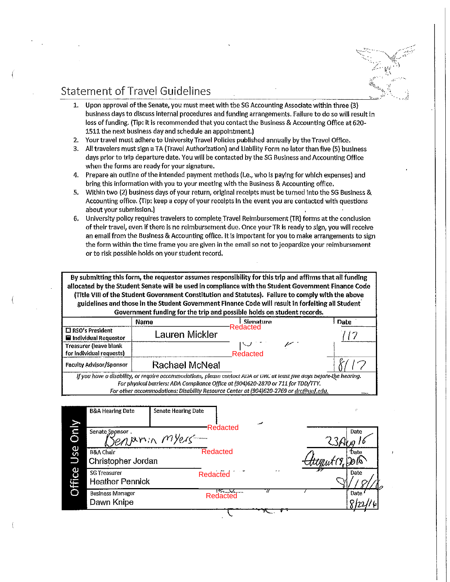## Statement of Travel Guidelines

- 1. Upon approval of the Senate, you must meet with tbe SG Accounting Associate within three (3) business days to discuss internal procedures and funding arrangements, Failure to do so will result in loss of funding. (Tip: it is recommended that you contact the Business & Accounting Office at 620- 1511 the next business day and schedule an appointment.)
- 2. Your travel must adhere to University Travel Policies published annually by the Travel Office.
- 3. All travelers must sign a TA {Travel Authorization) and Liability Form no later than five (5) business days prior to trip departure date. You will be contacted by the SG Business and Accounting Office when the forms are ready for your signature.
- 4. Prepare ah outline of the intended payment methods (i.e., who Is paying for which expenses) and bring this information with you to your meeting with the Business & Accounting office.
- 5. Within two (2) business days of your return, original receipts must be turned into the SG Business & Accounting office. {Tip: keep a copy of your receipts In the event you are contacted with questions about your submission.)
- 6. University policy requires travelers to complete Travel Reimbursement (TR) forms at the conclusion of their travel, even if there ls no reimbursement due, Once your TR Is ready to sign, you will receive an email from the Business & Accounting office. It Is important for you to make arrangements to sign the form within the time frame you are given in the email so not to jeopardize your reimbursement or to risk possible holds on your student record.

**By submitting this form, the requestor assumes responsibility for this trip and affirms that all funding allocated by the Student Senate will be used in compliance with the Student Government Finance Code (Title VIII of the Student Government Constitution and Statutes). Failure to comply with the above guidelines and those In the Student Government Finance Code will result in forfeiting all Student Government funding for the trip and possible holds on student records.** 

|                                                            | <b>OVACHILICITE HUMILE TOT THE GHD BRU MOSSING HORD ON SURGEILL COOL ON</b>                                           |           |      |
|------------------------------------------------------------|-----------------------------------------------------------------------------------------------------------------------|-----------|------|
|                                                            | Name                                                                                                                  | Signature | Date |
| I □ RSO's President<br>$\blacksquare$ Individual Requestor | Lauren Mickler                                                                                                        | Redacted  |      |
| Treasurer (leave blank<br>$\vert$ for individual requests) |                                                                                                                       | Redacted  |      |
| Faculty Advisor/Sponsor                                    | Rachael McNeal                                                                                                        |           |      |
|                                                            | If you have a disability, or require accommodations, please contact ADA or DRC at least five days before the hearing. |           |      |
|                                                            | For physical barriers: ADA Compliance Office at (904)620-2870 or 711 for TDD/TTY.                                     |           |      |
|                                                            | For other accommodations: Disability Resource Center at (904)620-2769 or drc@unf.edu.                                 |           |      |

|                        | <b>B&amp;A Hearing Date</b>                | <b>Senate Hearing Date</b>          | میر             | <b>CS</b> |
|------------------------|--------------------------------------------|-------------------------------------|-----------------|-----------|
| $\bar{\mathbf{\circ}}$ | Senate Sponsor,                            | Redacted<br>Benjamin myers-         |                 | Date      |
| <b>Use</b>             | <b>B&amp;A Chair</b><br>Christopher Jordan | Redacted                            |                 | Date      |
| ce<br><b>Offi</b>      | SG Treasurer<br><b>Heather Pennick</b>     | 1.01.1.1.1.1<br>Redacted            | $\cdot$ $\cdot$ | Date      |
|                        | <b>Business Manager</b><br>Dawn Knipe      | $\frac{1}{2}$ Clanteuro<br>Redacted | Н               | Date '    |
|                        |                                            |                                     |                 |           |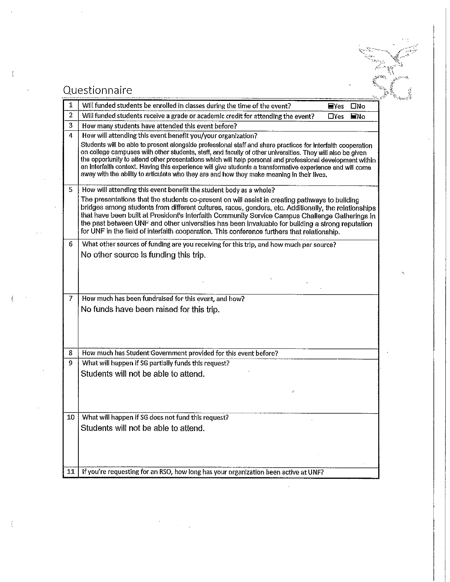# 作飞 in is

## Questionnaire

 $\overline{1}$ 

 $\overline{(}$ 

 $\langle$ 

| 1              | Will funded students be enrolled in classes during the time of the event?<br>$\blacksquare$ Yes<br>□No                                                                                                                                                                                                                                                                                                                                                                                                                                               |
|----------------|------------------------------------------------------------------------------------------------------------------------------------------------------------------------------------------------------------------------------------------------------------------------------------------------------------------------------------------------------------------------------------------------------------------------------------------------------------------------------------------------------------------------------------------------------|
| $\overline{2}$ | Will funded students receive a grade or academic credit for attending the event?<br>$\Box$ Yes<br>ENo                                                                                                                                                                                                                                                                                                                                                                                                                                                |
| 3              | How many students have attended this event before?                                                                                                                                                                                                                                                                                                                                                                                                                                                                                                   |
| 4              | How will attending this event benefit you/your organization?                                                                                                                                                                                                                                                                                                                                                                                                                                                                                         |
|                | Students will be able to present alongside professional staff and share practices for interfaith cooperation<br>on college campuses with other students, staff, and faculty of other universities. They will also be given<br>the opportunity to attend other presentations which will help personal and professional development within<br>an interfalth context. Having this experience will give students a transformative experience and will come<br>away with the ability to articulate who they are and how they make meaning in their lives. |
| 5.             | How will attending this event benefit the student body as a whole?                                                                                                                                                                                                                                                                                                                                                                                                                                                                                   |
|                | The presentations that the students co-present on will assist in creating pathways to building<br>bridges among students from different cultures, races, genders, etc. Additionally, the relationships<br>that have been built at President's Interfaith Community Service Campus Challenge Gatherings in<br>the past between UNF and other universities has been invaluable for building a strong reputation<br>for UNF in the field of interfaith cooperation. This conference furthers that relationship.                                         |
| 6              | What other sources of funding are you receiving for this trip, and how much per source?                                                                                                                                                                                                                                                                                                                                                                                                                                                              |
|                | No other source is funding this trip.                                                                                                                                                                                                                                                                                                                                                                                                                                                                                                                |
|                |                                                                                                                                                                                                                                                                                                                                                                                                                                                                                                                                                      |
| 7              | How much has been fundraised for this event, and how?                                                                                                                                                                                                                                                                                                                                                                                                                                                                                                |
|                | No funds have been raised for this trip.                                                                                                                                                                                                                                                                                                                                                                                                                                                                                                             |
| 8              | How much has Student Government provided for this event before?                                                                                                                                                                                                                                                                                                                                                                                                                                                                                      |
| 9              | What will happen if SG partially funds this request?                                                                                                                                                                                                                                                                                                                                                                                                                                                                                                 |
|                | Students will not be able to attend.                                                                                                                                                                                                                                                                                                                                                                                                                                                                                                                 |
|                |                                                                                                                                                                                                                                                                                                                                                                                                                                                                                                                                                      |
| 10             | What will happen if SG does not fund this request?                                                                                                                                                                                                                                                                                                                                                                                                                                                                                                   |
|                | Students will not be able to attend.                                                                                                                                                                                                                                                                                                                                                                                                                                                                                                                 |
|                |                                                                                                                                                                                                                                                                                                                                                                                                                                                                                                                                                      |
| 11             | If you're requesting for an RSO, how long has your organization been active at UNF?                                                                                                                                                                                                                                                                                                                                                                                                                                                                  |
|                |                                                                                                                                                                                                                                                                                                                                                                                                                                                                                                                                                      |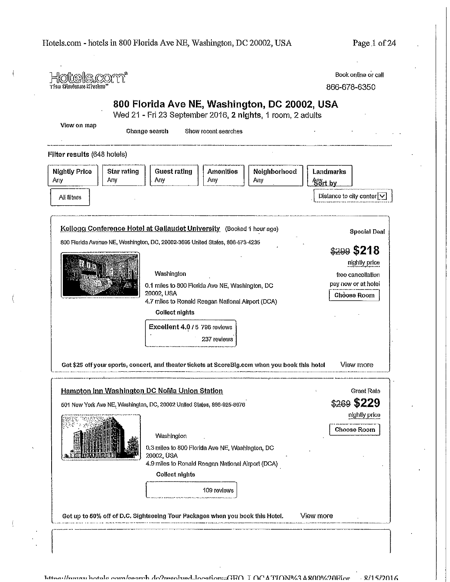| timelle <i>rm</i><br>The Obvious Choice           |                                                                                                                                                                                                                                                                                                                                                                                               | Book online or call<br>866-678-6350                                                                  |
|---------------------------------------------------|-----------------------------------------------------------------------------------------------------------------------------------------------------------------------------------------------------------------------------------------------------------------------------------------------------------------------------------------------------------------------------------------------|------------------------------------------------------------------------------------------------------|
|                                                   | 800 Florida Ave NE, Washington, DC 20002, USA<br>Wed 21 - Fri 23 September 2016, 2 nights, 1 room, 2 adults                                                                                                                                                                                                                                                                                   |                                                                                                      |
| View on map                                       | Change search<br>Show recent searches                                                                                                                                                                                                                                                                                                                                                         |                                                                                                      |
| Filter results (648 hotels)                       |                                                                                                                                                                                                                                                                                                                                                                                               |                                                                                                      |
| <b>Nightly Price</b><br>Star rating<br>Any<br>Any | Neighborhood<br><b>Guest rating</b><br><b>Amenities</b><br>Any<br>Any<br>Any                                                                                                                                                                                                                                                                                                                  | <b>Landmarks</b><br>Sort by                                                                          |
| All filters                                       |                                                                                                                                                                                                                                                                                                                                                                                               | Distance to city center V                                                                            |
|                                                   | Kellogg Conference Hotel at Gallaudet University (Booked 1 hour ago)                                                                                                                                                                                                                                                                                                                          | <b>Special Deal</b>                                                                                  |
|                                                   | 800 Florida Avenue NE, Washington, DC, 20002-3695 United States, 866-573-4235<br>Washington<br>0.1 miles to 800 Florida Ave NE, Washington, DC<br>20002, USA<br>4.7 miles to Ronald Reagan National Airport (DCA)<br><b>Collect nights</b><br>Excellent 4.0 / 5 796 reviews<br>237 reviews<br>Get \$25 off your sports, concert, and theater tickets at ScoreBig.com when you book this hotel | \$299\$5218<br>nightly price<br>free cancellation<br>pay now or at hotel<br>Choose Room<br>View more |
|                                                   | Hampton Inn Washington DC NoMa Union Station<br>501 New York Ave NE, Washington, DC, 20002 United States, 866-925-8676                                                                                                                                                                                                                                                                        | Great Rate<br>\$269 \$229                                                                            |
|                                                   | Washington<br>0.3 miles to 800 Florida Ave NE, Washington, DC<br>20002, USA<br>4.9 miles to Ronald Reagan National Airport (DCA)<br><b>Collect nights</b><br>109 reviews                                                                                                                                                                                                                      | nightly price<br><b>Choose Room</b>                                                                  |
|                                                   |                                                                                                                                                                                                                                                                                                                                                                                               |                                                                                                      |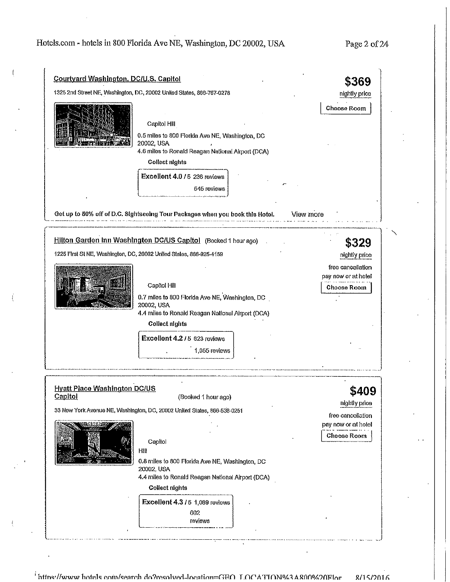| <b>Courtyard Washington, DC/U.S. Capitol</b>                          |                                                                               | \$369                                    |
|-----------------------------------------------------------------------|-------------------------------------------------------------------------------|------------------------------------------|
| 1325 2nd Street NE, Washington, DC, 20002 United States, 866-767-0278 | nightly price                                                                 |                                          |
|                                                                       | Capitol Hill<br>0.5 miles to 800 Florida Ave NE, Washington, DC<br>20002, USA | <b>Choose Room</b>                       |
|                                                                       | 4.6 miles to Ronald Reagan National Airport (DCA)                             |                                          |
|                                                                       | <b>Collect nights</b>                                                         |                                          |
|                                                                       | Excellent 4.0 / 5 236 reviews                                                 |                                          |
|                                                                       | 545 reviews                                                                   |                                          |
|                                                                       | Get up to 50% off of D.C. Sightseeing Tour Packages when you book this Hotel. | View more                                |
|                                                                       | Hilton Garden Inn Washington DC/US Capitol (Booked 1 hour ago)                | \$329                                    |
|                                                                       | 1225 First St NE, Washington, DC, 20002 United States, 866-925-4159           | nightly price                            |
|                                                                       |                                                                               | free cancellation                        |
|                                                                       | Capitol Hill                                                                  | pay now or at hotel<br>Choose Room       |
|                                                                       | 0.7 miles to 800 Florida Ave NE, Washington, DC                               |                                          |
|                                                                       | 20002, USA<br>4.4 miles to Ronald Reagan National Airport (DCA)               |                                          |
|                                                                       | <b>Collect nights</b>                                                         |                                          |
|                                                                       | Excellent 4.2 / 5 623 reviews                                                 |                                          |
|                                                                       | 1,055 reviews                                                                 |                                          |
|                                                                       |                                                                               |                                          |
|                                                                       |                                                                               |                                          |
| <b>Hyatt Place Washington DC/US</b><br><b>Capitol</b>                 | (Booked 1 hour ago)                                                           | \$409                                    |
|                                                                       | 33 New York Avenue NE, Washington, DC, 20002 United States, 866-538-0251      | nightly price                            |
|                                                                       |                                                                               | free cancellation<br>pay now or at hotel |
|                                                                       |                                                                               | <b>Choose Room</b>                       |
|                                                                       | Capitol<br>Hill                                                               |                                          |
|                                                                       | 0.8 miles to 800 Florida Ave NE, Washington, DC                               |                                          |
|                                                                       | 20002, USA                                                                    |                                          |
|                                                                       | 4.4 miles to Ronald Reagan National Airport (DCA)                             |                                          |
|                                                                       | <b>Collect nights</b>                                                         |                                          |
|                                                                       | Excellent 4.3 / 5 1,089 reviews                                               |                                          |
|                                                                       | 602<br>reviews                                                                |                                          |

 $^{\frac{1}{4}}$ httns://www.hote.ls.com/search.do?resolved=location=GEO\_LOCATION%2AR00%20Elor == 8/15/2016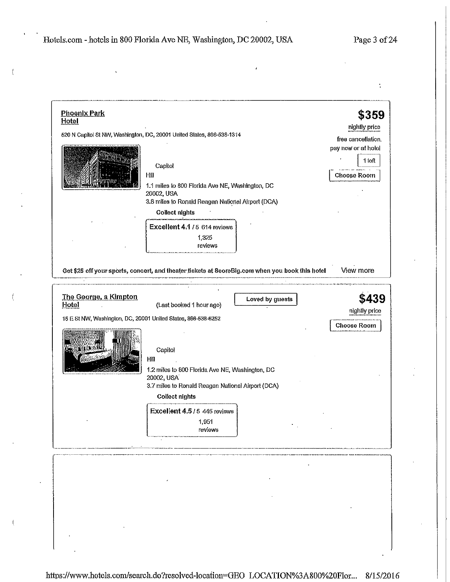÷

| <b>Phoenix Park</b><br>Hotel                                  |                                                                                                 | \$359               |
|---------------------------------------------------------------|-------------------------------------------------------------------------------------------------|---------------------|
|                                                               | 520 N Capitol St NW, Washington, DC, 20001 United States, 866-538-1314                          | nightly price       |
|                                                               |                                                                                                 | free cancellation.  |
|                                                               |                                                                                                 | pay now or at hotel |
|                                                               | Capitol                                                                                         | 1 loft              |
|                                                               | Hill                                                                                            | Choose Room         |
|                                                               | 1.1 miles to 800 Florida Ave NE, Washington, DC<br>20002, USA                                   |                     |
|                                                               | 3.8 miles to Ronald Reagan National Airport (DCA)<br>Collect nights                             |                     |
|                                                               |                                                                                                 |                     |
|                                                               | Excellent 4.1 / 5 614 reviews                                                                   |                     |
|                                                               | 1,325<br>reviews                                                                                |                     |
|                                                               |                                                                                                 |                     |
|                                                               | Get \$25 off your sports, concert, and theater tickets at ScoreBig.com when you book this hotel | View more           |
| The George, a Kimpton<br>Hotel                                | Loved by guests<br>(Last booked 1 hour ago)                                                     |                     |
| 15 E St NW, Washington, DC, 20001 United States, 866-538-6252 |                                                                                                 |                     |
| i (XT)                                                        | Capitol<br>Hill<br>1.2 miles to 800 Florida Ave NE, Washington, DC<br>20002, USA                | <b>Choose Room</b>  |
|                                                               | 3.7 miles to Ronald Reagan National Airport (DCA)                                               |                     |
|                                                               | Collect nights                                                                                  | nightly price       |
|                                                               | Excellent 4.5 / 5 445 reviews                                                                   |                     |
|                                                               | 1,951<br>reviews                                                                                |                     |
|                                                               |                                                                                                 |                     |

https://www.hotels.com/search.do?resolved-location=GEO LOCATION%3A800%20Flor... 8/15/2016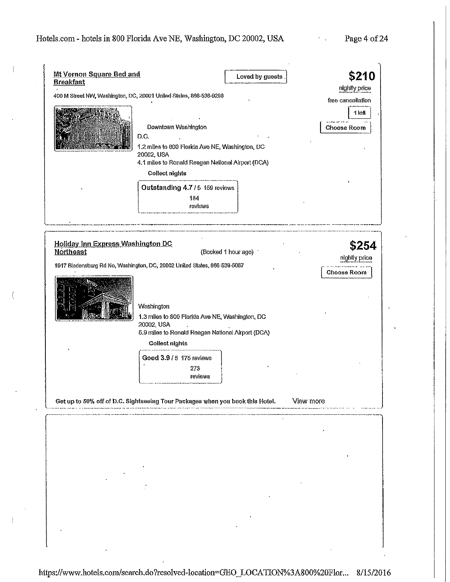$\mathfrak{l}$ 

Page 4 of 24

 $\epsilon_{\rm{max}}$ 

| <b>Breakfast</b>                                      | Loved by guests<br>400 M Street NW, Washington, DC, 20001 United States, 866-538-9298<br>Downtown Washington<br>D.C.<br>1.2 miles to 800 Florida Ave NE, Washington, DC<br>20002, USA | \$210<br>nightly price<br>free cancellation<br>1 left<br><b>Choose Room</b> |
|-------------------------------------------------------|---------------------------------------------------------------------------------------------------------------------------------------------------------------------------------------|-----------------------------------------------------------------------------|
|                                                       | 4.1 miles to Ronald Reagan National Airport (DCA)<br>Collect nights<br>Outstanding 4.7 / 5 159 reviews<br>184<br>reviews                                                              |                                                                             |
| Holiday Inn Express Washington DC<br><b>Northeast</b> | (Booked 1 hour ago)<br>1917 Bladensburg Rd Ne, Washington, DC, 20002 United States, 866-539-5067                                                                                      | \$254<br>nightly price<br><b>Choose Room</b>                                |
|                                                       | Washington<br>1.3 miles to 800 Florida Ave NE, Washington, DC<br>20002, USA<br>5.9 miles to Ronald Reagan National Airport (DCA)<br><b>Collect nights</b><br>Good 3.9 / 5 175 reviews |                                                                             |
|                                                       | 273<br>reviews<br>Get up to 50% off of D.C. Sightseeing Tour Packages when you book this Hotel.                                                                                       | View more                                                                   |
|                                                       |                                                                                                                                                                                       |                                                                             |
|                                                       |                                                                                                                                                                                       |                                                                             |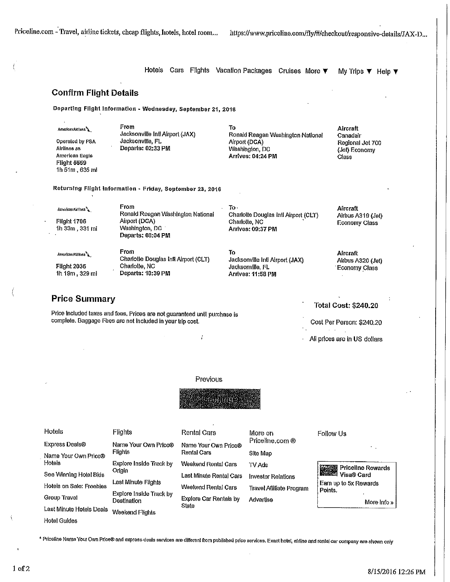Hotels Cars Flights Vacation Packages Cruises More **T** My Trips **T** Help **T** 

### **Confirm Flight Details**

**Departing Flight Information - Wednesday~ September 21, 2016** 

American Astines **Operated by PSA Airlines as American Engle**  Flight 5559 1h 51m, 635 ml

**From To**  Jacksonville Intl Airport (JAX) **Jacksonville, FL** 

Ronald Reagan Washington National Airport **(DCA)**  Washington, DC **Arrives: 04:24 PM** 

**Aircraft Canadair**  Regional Jet 700 (Jet) Economy **Class** 

**Returnfng Flight Information** ~ **Friday, September 23, 2016** 

| Autrilian Avilias 1.<br><b>Flight 1706</b><br>1h 33m, 331 mi | From<br>Ronald Reagan Washington National<br>Airport (DCA)<br>Washington, DC<br>Departs: 08:04 PM | To -<br>Charlotte Douglas Intl Airport (CLT)<br>Charlotte, NC<br>Arrives: 09:37 PM | Aircraft<br>Airbus A319 (Jet)<br><b>Economy Class</b> |
|--------------------------------------------------------------|---------------------------------------------------------------------------------------------------|------------------------------------------------------------------------------------|-------------------------------------------------------|
| American Atilines                                            | From                                                                                              | Тο                                                                                 | <b>Aircraft</b>                                       |
|                                                              | Charlotte Douglas Inti Airport (CLT)                                                              | Jacksonville Inti Airport (JAX)                                                    | Alrbus A320 (Jet)                                     |
| <b>Flight 2035</b>                                           | Charlotte, NC                                                                                     | Jacksonville, FL                                                                   | <b>Economy Class</b>                                  |
| 1h 19m, 329 mi                                               | Departs: 10:39 PM                                                                                 | <b>Arrives: 11:58 PM</b>                                                           |                                                       |

### **Price Summary**

**Price included taxes and fees, Prices are not guaranteed untll purchase is**  complete. Baggage Fees are not included in your trip cost.

### Total Cost: \$240.20

Cost Per Person: \$240.20

All prices are In US dollars

### Previous

í



| Hotels                   | Flights                                | <b>Rental Cars</b>            | More on                         | Follow Us                                                                          |
|--------------------------|----------------------------------------|-------------------------------|---------------------------------|------------------------------------------------------------------------------------|
| <b>Express Deals®</b>    | Name Your Own Price®                   | Name Your Own Price®          | Priceline.com ®                 |                                                                                    |
| Name Your Own Price®     | Flights                                | Rental Cars                   | Site Map                        |                                                                                    |
| Hotels                   | Explore Inside Track by                | Weekend Rental Cars           | TV Ads                          | Priceline Rewards                                                                  |
| See Winning Hotel Bids   | Origin                                 | Last Minute Rental Cars       | <b>Investor Relations</b>       | <b>Priceline Revenue &amp; The Priceline Revenue &amp; Priceline</b><br>Nisa® Card |
| Hotels on Sale: Freebies | Last Minute Flights                    | Weekend Rental Cars           | <b>Travel Affiliate Program</b> | Earn up to 5x Rewards<br>Points.                                                   |
| Group Travel             | Explore Inside Track by<br>Destination | <b>Explore Car Rentals by</b> | Advertise                       | More info »                                                                        |
| Last Minute Hotels Deals | Weekend Flights                        | State                         |                                 |                                                                                    |

<sup>~</sup>**Prtcelfoe Name Your Own Price® and express deals servi:ces are different from publlsheQ price servi:ces. Exact hotel, alrline and rental car company are shown only** 

Hotel Guides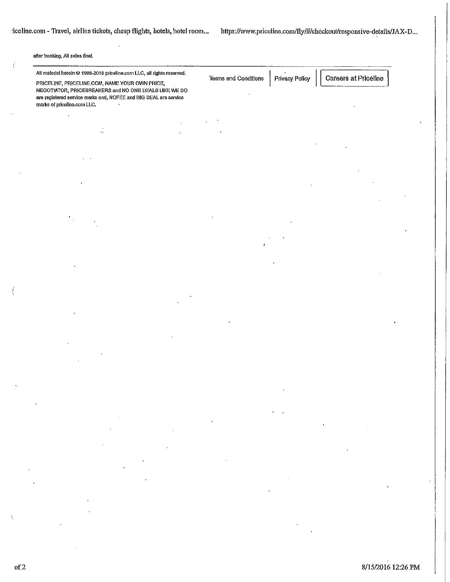### **after booking. AU sales final.**

| All material herein @ 1998-2016 priceline.com LLC, all rights reserved. |  |  |
|-------------------------------------------------------------------------|--|--|
|-------------------------------------------------------------------------|--|--|

 $\ddot{\cdot}$ 

**PRICEUNE, PRICELINE.COM, NAME YOUR OWN PRICE, NEGOTIATOR, PRICEBREAKERS and NO ONE DEALS LIKE WE DO** are registered service marks and, NOFEE and BIG DEAL are service marks of priceline.com LLC.

Terms and Conditions  $\mid$  Privacy Policy  $\mid$   $\mid$  Careers at Priceline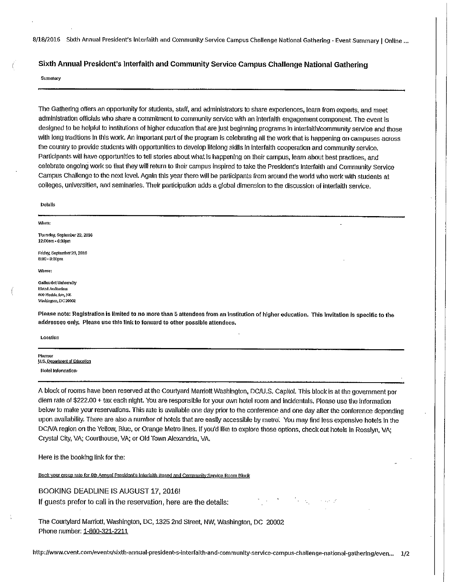### **Sixth Annual President's Interfaith and Community Service Campus Challenge National Gathering**

### Summary

The Gathering offers an opportunity for students, staff, and administrators to share experiences, learn **from** experts, and meet administration officials who share a commitment to community service with an interfaith engagement component. The event is designed to be helpful to institutions of higher education that are just beginning programs in interfaith/community service and those with long traditions in this work. An important part of the program is celebrating all the work that is happening on campuses across the country to provide students with opportunities to develop lifelong skills ln interfaith cooperation and community service. Participants will have opportunities to tell stories about what Is happening on their campus, learn about best practices, and celebrate ongoing work so that they will return to their campus inspired to take the President's Interfaith and Community service Campus Challenge to the next level. Again this year there will be participants from around the world who work with students at colleges, universities, and seminaries. Their participation adds a global dimension to the discussion of interfaith service.

### Details

#### When:

Thursday, Soptember22, 2016 12:00am - 6:30pm

Friday, September 23, 2016 e:ao • a:oopm

Where:

Gallaudet University Elstad Auditorium 800 Florida Ave, NE Washington, DC 20002

Please note: Registration is limited to no more than 5 attendees from an institution of higher education. This invitation is specific to the addressee only. Please use this link to forward to other possible attendees.

Location

Planner U.S. Department of Education Hotel Information-

A block of rooms have been reserved at the Courtyard Marriott Washington, DC/U.S. Capitol. This block is at the government per diem rate of \$222.00 + tax each night. You are responsible for your own hotel room and incidentals. Please use the information below to make your reservations. This rate is available one day prior to the conference and one day after the conference depending upon availability. There are also a number of hotels that are easily accessible by metro: You may find less expensive hotels in the DCNA region on the Yellow, Blue, or Orange Metro lines. If you'd like to explore those options, check out hotels In Rosslyn, VA; Crystal Cily, VA; courthouse, VA; or Old Town Alexandria, VA.

Here is the booking link for the:

Book your group rate for 6th Annual President's Interfaith Based and Community Service Room Block

### BOOKING DEADLINE IS AUGUST 17, 2016!

If guests prefer to call in the reservation, here are the details:

The Courtylard Marriott, Washington, DC, 1325 2nd Street, NW, Washington, DC 20002 Phone number: 1-800-321-2211